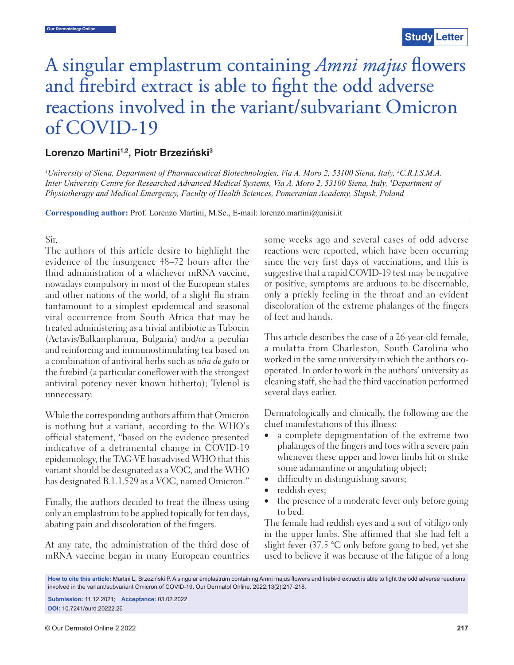# A singular emplastrum containing *Amni majus* flowers and firebird extract is able to fight the odd adverse reactions involved in the variant/subvariant Omicron of COVID-19

## **Lorenzo Martini1,2, Piotr Brzeziński3**

*1 University of Siena, Department of Pharmaceutical Biotechnologies, Via A. Moro 2, 53100 Siena, Italy, 2 C.R.I.S.M.A. Inter University Centre for Researched Advanced Medical Systems, Via A. Moro 2, 53100 Siena, Italy, 3 Department of Physiotherapy and Medical Emergency, Faculty of Health Sciences, Pomeranian Academy, Slupsk, Poland*

**Corresponding author:** Prof. Lorenzo Martini, M.Sc., E-mail: lorenzo.martini@unisi.it

Sir,

The authors of this article desire to highlight the evidence of the insurgence 48–72 hours after the third administration of a whichever mRNA vaccine, nowadays compulsory in most of the European states and other nations of the world, of a slight flu strain tantamount to a simplest epidemical and seasonal viral occurrence from South Africa that may be treated administering as a trivial antibiotic as Tubocin (Actavis/Balkanpharma, Bulgaria) and/or a peculiar and reinforcing and immunostimulating tea based on a combination of antiviral herbs such as *uña de gato* or the firebird (a particular coneflower with the strongest antiviral potency never known hitherto); Tylenol is unnecessary.

While the corresponding authors affirm that Omicron is nothing but a variant, according to the WHO's official statement, "based on the evidence presented indicative of a detrimental change in COVID-19 epidemiology, the TAG-VE has advised WHO that this variant should be designated as a VOC, and the WHO has designated B.1.1.529 as a VOC, named Omicron."

Finally, the authors decided to treat the illness using only an emplastrum to be applied topically for ten days, abating pain and discoloration of the fingers.

At any rate, the administration of the third dose of mRNA vaccine began in many European countries some weeks ago and several cases of odd adverse reactions were reported, which have been occurring since the very first days of vaccinations, and this is suggestive that a rapid COVID-19 test may be negative or positive; symptoms are arduous to be discernable, only a prickly feeling in the throat and an evident discoloration of the extreme phalanges of the fingers of feet and hands.

This article describes the case of a 26-year-old female, a mulatta from Charleston, South Carolina who worked in the same university in which the authors cooperated. In order to work in the authors' university as cleaning staff, she had the third vaccination performed several days earlier.

Dermatologically and clinically, the following are the chief manifestations of this illness:

- a complete depigmentation of the extreme two phalanges of the fingers and toes with a severe pain whenever these upper and lower limbs hit or strike some adamantine or angulating object;
- difficulty in distinguishing savors;
- reddish eyes;
- the presence of a moderate fever only before going to bed.

The female had reddish eyes and a sort of vitiligo only in the upper limbs. She affirmed that she had felt a slight fever (37.5 °C only before going to bed, yet she used to believe it was because of the fatigue of a long

How to cite this article: Martini L, Brzeziński P. A singular emplastrum containing Amni majus flowers and firebird extract is able to fight the odd adverse reactions involved in the variant/subvariant Omicron of COVID-19. Our Dermatol Online. 2022;13(2):217-218.

**Submission:** 11.12.2021; **Acceptance:** 03.02.2022 **DOI:** 10.7241/ourd.20222.26